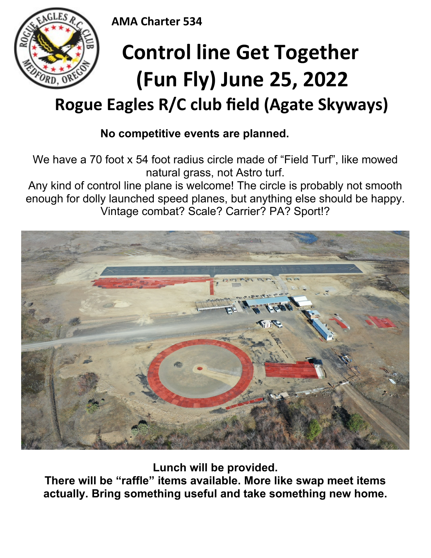**AMA Charter 534**



## **Control line Get Together (Fun Fly) June 25, 2022**

## **Rogue Eagles R/C club field (Agate Skyways)**

## **No competitive events are planned.**

We have a 70 foot x 54 foot radius circle made of "Field Turf", like mowed natural grass, not Astro turf.

Any kind of control line plane is welcome! The circle is probably not smooth enough for dolly launched speed planes, but anything else should be happy. Vintage combat? Scale? Carrier? PA? Sport!?



**Lunch will be provided.** 

**There will be "raffle" items available. More like swap meet items actually. Bring something useful and take something new home.**